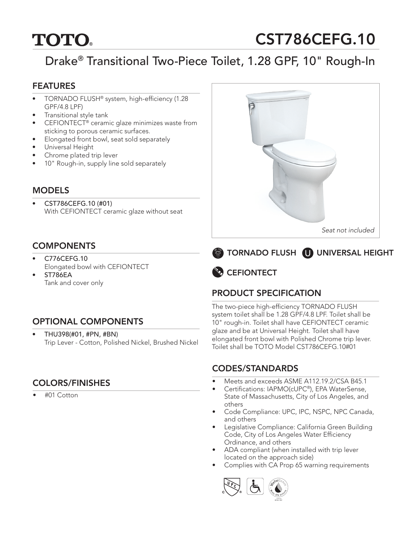# **TOTO.**

# CST786CEFG.10

# Drake® Transitional Two-Piece Toilet, 1.28 GPF, 10" Rough-In

#### **FEATURES**

- TORNADO FLUSH<sup>®</sup> system, high-efficiency (1.28 GPF/4.8 LPF)
- Transitional style tank
- CEFIONTECT® ceramic glaze minimizes waste from sticking to porous ceramic surfaces.
- Elongated front bowl, seat sold separately
- Universal Height
- Chrome plated trip lever
- 10" Rough-in, supply line sold separately

#### **MODELS**

• CST786CEFG.10 (#01) With CEFIONTECT ceramic glaze without seat

### COMPONENTS

- C776CEFG.10 Elongated bowl with CEFIONTECT
- ST786EA Tank and cover only

## OPTIONAL COMPONENTS

• THU398(#01, #PN, #BN) Trip Lever - Cotton, Polished Nickel, Brushed Nickel

## COLORS/FINISHES

• #01 Cotton







# PRODUCT SPECIFICATION

The two-piece high-efficiency TORNADO FLUSH system toilet shall be 1.28 GPF/4.8 LPF. Toilet shall be 10" rough-in. Toilet shall have CEFIONTECT ceramic glaze and be at Universal Height. Toilet shall have elongated front bowl with Polished Chrome trip lever. Toilet shall be TOTO Model CST786CEFG.10#01

#### CODES/STANDARDS

- Meets and exceeds ASME A112.19.2/CSA B45.1
- Certifications: IAPMO(cUPC®), EPA WaterSense, State of Massachusetts, City of Los Angeles, and others
- Code Compliance: UPC, IPC, NSPC, NPC Canada, and others
- Legislative Compliance: California Green Building Code, City of Los Angeles Water Efficiency Ordinance, and others
- ADA compliant (when installed with trip lever located on the approach side)
- Complies with CA Prop 65 warning requirements